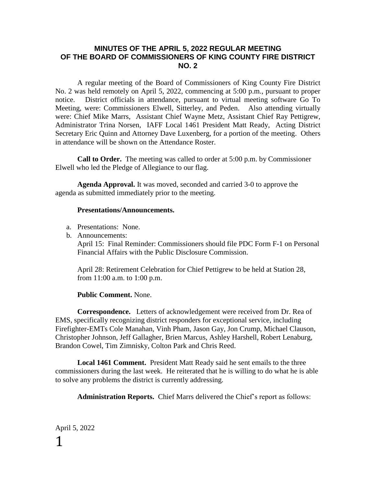#### **MINUTES OF THE APRIL 5, 2022 REGULAR MEETING OF THE BOARD OF COMMISSIONERS OF KING COUNTY FIRE DISTRICT NO. 2**

A regular meeting of the Board of Commissioners of King County Fire District No. 2 was held remotely on April 5, 2022, commencing at 5:00 p.m., pursuant to proper notice. District officials in attendance, pursuant to virtual meeting software Go To Meeting, were: Commissioners Elwell, Sitterley, and Peden. Also attending virtually were: Chief Mike Marrs, Assistant Chief Wayne Metz, Assistant Chief Ray Pettigrew, Administrator Trina Norsen, IAFF Local 1461 President Matt Ready, Acting District Secretary Eric Quinn and Attorney Dave Luxenberg, for a portion of the meeting. Others in attendance will be shown on the Attendance Roster.

**Call to Order.** The meeting was called to order at 5:00 p.m. by Commissioner Elwell who led the Pledge of Allegiance to our flag.

**Agenda Approval.** It was moved, seconded and carried 3-0 to approve the agenda as submitted immediately prior to the meeting.

#### **Presentations/Announcements.**

- a. Presentations: None.
- b. Announcements:

April 15: Final Reminder: Commissioners should file PDC Form F-1 on Personal Financial Affairs with the Public Disclosure Commission.

April 28: Retirement Celebration for Chief Pettigrew to be held at Station 28, from 11:00 a.m. to 1:00 p.m.

#### **Public Comment.** None.

**Correspondence.** Letters of acknowledgement were received from Dr. Rea of EMS, specifically recognizing district responders for exceptional service, including Firefighter-EMTs Cole Manahan, Vinh Pham, Jason Gay, Jon Crump, Michael Clauson, Christopher Johnson, Jeff Gallagher, Brien Marcus, Ashley Harshell, Robert Lenaburg, Brandon Cowel, Tim Zimnisky, Colton Park and Chris Reed.

**Local 1461 Comment.** President Matt Ready said he sent emails to the three commissioners during the last week. He reiterated that he is willing to do what he is able to solve any problems the district is currently addressing.

**Administration Reports.** Chief Marrs delivered the Chief's report as follows: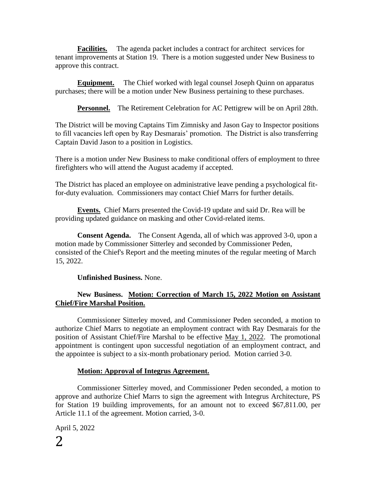**Facilities.** The agenda packet includes a contract for architect services for tenant improvements at Station 19. There is a motion suggested under New Business to approve this contract.

**Equipment.** The Chief worked with legal counsel Joseph Quinn on apparatus purchases; there will be a motion under New Business pertaining to these purchases.

**Personnel.** The Retirement Celebration for AC Pettigrew will be on April 28th.

The District will be moving Captains Tim Zimnisky and Jason Gay to Inspector positions to fill vacancies left open by Ray Desmarais' promotion. The District is also transferring Captain David Jason to a position in Logistics.

There is a motion under New Business to make conditional offers of employment to three firefighters who will attend the August academy if accepted.

The District has placed an employee on administrative leave pending a psychological fitfor-duty evaluation. Commissioners may contact Chief Marrs for further details.

**Events.** Chief Marrs presented the Covid-19 update and said Dr. Rea will be providing updated guidance on masking and other Covid-related items.

**Consent Agenda.** The Consent Agenda, all of which was approved 3-0, upon a motion made by Commissioner Sitterley and seconded by Commissioner Peden, consisted of the Chief's Report and the meeting minutes of the regular meeting of March 15, 2022.

**Unfinished Business.** None.

#### **New Business. Motion: Correction of March 15, 2022 Motion on Assistant Chief/Fire Marshal Position.**

Commissioner Sitterley moved, and Commissioner Peden seconded, a motion to authorize Chief Marrs to negotiate an employment contract with Ray Desmarais for the position of Assistant Chief/Fire Marshal to be effective May 1, 2022. The promotional appointment is contingent upon successful negotiation of an employment contract, and the appointee is subject to a six-month probationary period. Motion carried 3-0.

#### **Motion: Approval of Integrus Agreement.**

Commissioner Sitterley moved, and Commissioner Peden seconded, a motion to approve and authorize Chief Marrs to sign the agreement with Integrus Architecture, PS for Station 19 building improvements, for an amount not to exceed \$67,811.00, per Article 11.1 of the agreement. Motion carried, 3-0.

April 5, 2022 2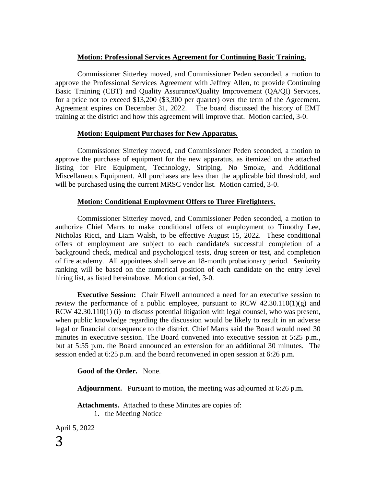#### **Motion: Professional Services Agreement for Continuing Basic Training.**

Commissioner Sitterley moved, and Commissioner Peden seconded, a motion to approve the Professional Services Agreement with Jeffrey Allen, to provide Continuing Basic Training (CBT) and Quality Assurance/Quality Improvement (QA/QI) Services, for a price not to exceed \$13,200 (\$3,300 per quarter) over the term of the Agreement. Agreement expires on December 31, 2022. The board discussed the history of EMT training at the district and how this agreement will improve that. Motion carried, 3-0.

#### **Motion: Equipment Purchases for New Apparatus.**

Commissioner Sitterley moved, and Commissioner Peden seconded, a motion to approve the purchase of equipment for the new apparatus, as itemized on the attached listing for Fire Equipment, Technology, Striping, No Smoke, and Additional Miscellaneous Equipment. All purchases are less than the applicable bid threshold, and will be purchased using the current MRSC vendor list. Motion carried, 3-0.

#### **Motion: Conditional Employment Offers to Three Firefighters.**

Commissioner Sitterley moved, and Commissioner Peden seconded, a motion to authorize Chief Marrs to make conditional offers of employment to Timothy Lee, Nicholas Ricci, and Liam Walsh, to be effective August 15, 2022. These conditional offers of employment are subject to each candidate's successful completion of a background check, medical and psychological tests, drug screen or test, and completion of fire academy. All appointees shall serve an 18-month probationary period. Seniority ranking will be based on the numerical position of each candidate on the entry level hiring list, as listed hereinabove. Motion carried, 3-0.

**Executive Session:** Chair Elwell announced a need for an executive session to review the performance of a public employee, pursuant to RCW  $42.30.110(1)(g)$  and RCW 42.30.110(1) (i) to discuss potential litigation with legal counsel, who was present, when public knowledge regarding the discussion would be likely to result in an adverse legal or financial consequence to the district. Chief Marrs said the Board would need 30 minutes in executive session. The Board convened into executive session at 5:25 p.m., but at 5:55 p.m. the Board announced an extension for an additional 30 minutes. The session ended at 6:25 p.m. and the board reconvened in open session at 6:26 p.m.

#### **Good of the Order.** None.

**Adjournment.** Pursuant to motion, the meeting was adjourned at 6:26 p.m.

**Attachments.** Attached to these Minutes are copies of: 1. the Meeting Notice

April 5, 2022 3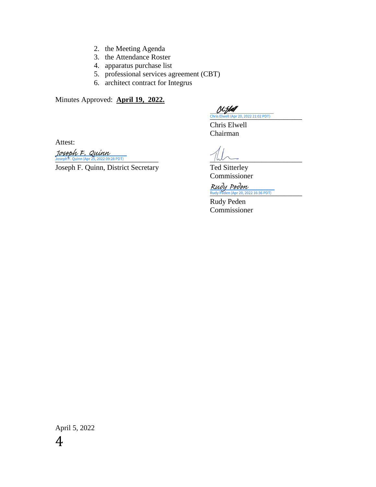- 2. the Meeting Agenda
- 3. the Attendance Roster
- 4. apparatus purchase list
- 5. professional services agreement (CBT)
- 6. architect contract for Integrus

Minutes Approved: **April 19, 2022.**

[)CID4 [\\_\\_\\_\\_\\_\\_\\_\\_\\_\\_\\_\\_\\_\\_\\_\\_\\_\\_\\_\\_\\_\\_\\_\\_\\_](https://na4.documents.adobe.com/verifier?tx=CBJCHBCAABAA52DUvdgEqp75L0RT71z7I1FuFc6NpiwH) Chris Elwell (Apr 20, 2022 21:02 PDT)

Chris Elwell Chairman

Attest:

 $\frac{JosephF. Quinn}{JosephF. Quinn (Apr 25, 2022 09:28 PDT)}$ 

Joseph F. Quinn, District Secretary Ted Sitterley

Commissioner

 $\frac{Rudy$  Peden<br>Rudy Peden (Apr 20, 2022 16:36 PDT)

Rudy Peden Commissioner

April 5, 2022 4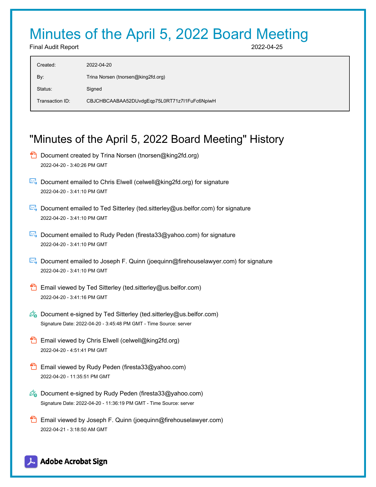# Minutes of the April 5, 2022 Board Meeting

Final Audit Report 2022-04-25

| $2022 - 04 - 20$                             |
|----------------------------------------------|
| Trina Norsen (tnorsen@king2fd.org)           |
| Signed                                       |
| CBJCHBCAABAA52DUvdgEqp75L0RT71z7I1FuFc6NpiwH |
|                                              |

## "Minutes of the April 5, 2022 Board Meeting" History

- **D** Document created by Trina Norsen (tnorsen@king2fd.org) 2022-04-20 - 3:40:26 PM GMT
- $\boxtimes$  Document emailed to Chris Elwell (celwell@king2fd.org) for signature 2022-04-20 - 3:41:10 PM GMT
- Document emailed to Ted Sitterley (ted.sitterley@us.belfor.com) for signature 2022-04-20 - 3:41:10 PM GMT
- Document emailed to Rudy Peden (firesta33@yahoo.com) for signature 2022-04-20 - 3:41:10 PM GMT
- Document emailed to Joseph F. Quinn (joequinn@firehouselawyer.com) for signature 2022-04-20 - 3:41:10 PM GMT
- **Email viewed by Ted Sitterley (ted.sitterley@us.belfor.com)** 2022-04-20 - 3:41:16 PM GMT
- $\mathscr{O}_\bullet$  Document e-signed by Ted Sitterley (ted.sitterley@us.belfor.com) Signature Date: 2022-04-20 - 3:45:48 PM GMT - Time Source: server
- **Email viewed by Chris Elwell (celwell@king2fd.org)** 2022-04-20 - 4:51:41 PM GMT
- **Email viewed by Rudy Peden (firesta33@yahoo.com)** 2022-04-20 - 11:35:51 PM GMT
- Co Document e-signed by Rudy Peden (firesta33@yahoo.com) Signature Date: 2022-04-20 - 11:36:19 PM GMT - Time Source: server
- **Email viewed by Joseph F. Quinn (joequinn@firehouselawyer.com)** 2022-04-21 - 3:18:50 AM GMT

### **Adobe Acrobat Sign**